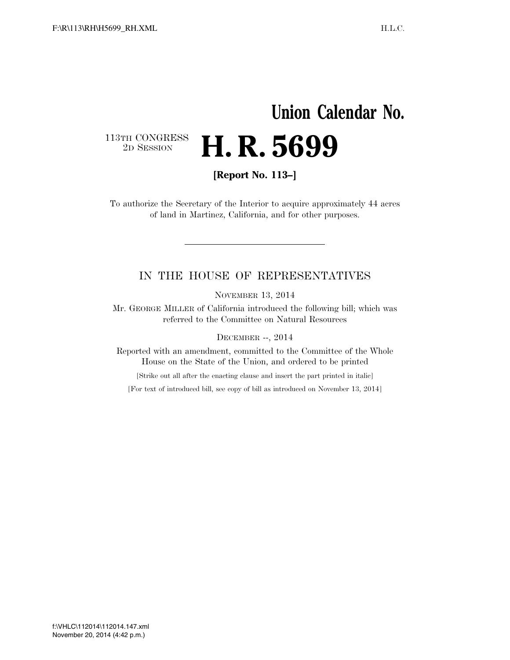## **Union Calendar No.**  113TH CONGRESS<br>2D SESSION 2D SESSION **H. R. 5699**

**[Report No. 113–]** 

To authorize the Secretary of the Interior to acquire approximately 44 acres of land in Martinez, California, and for other purposes.

## IN THE HOUSE OF REPRESENTATIVES

NOVEMBER 13, 2014

Mr. GEORGE MILLER of California introduced the following bill; which was referred to the Committee on Natural Resources

DECEMBER --, 2014

Reported with an amendment, committed to the Committee of the Whole House on the State of the Union, and ordered to be printed

[Strike out all after the enacting clause and insert the part printed in italic]

[For text of introduced bill, see copy of bill as introduced on November 13, 2014]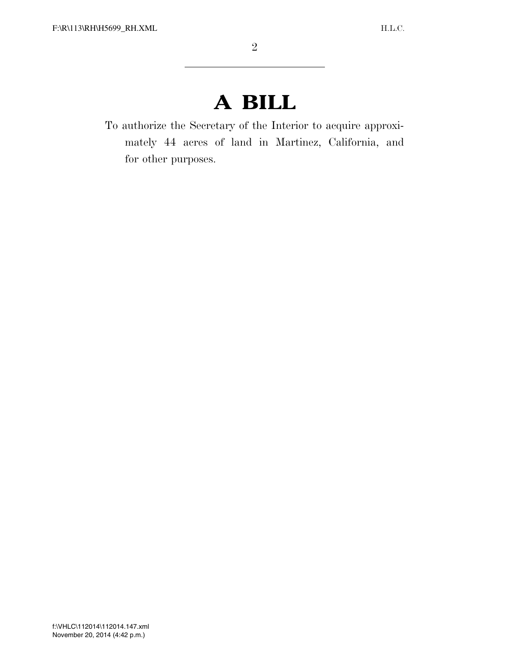## **A BILL**

To authorize the Secretary of the Interior to acquire approximately 44 acres of land in Martinez, California, and for other purposes.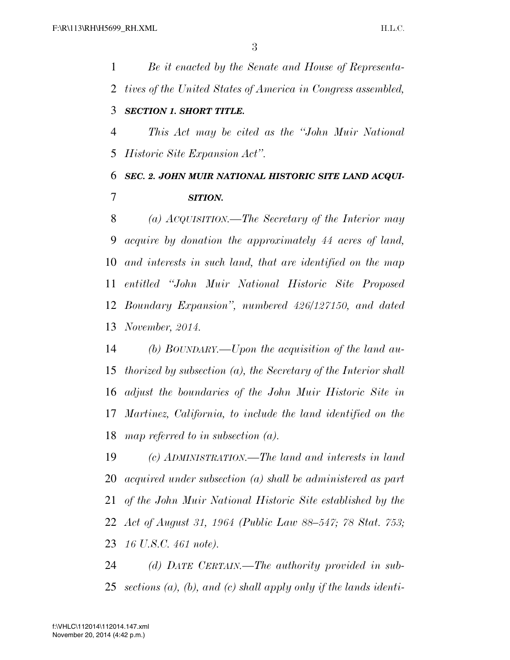*Be it enacted by the Senate and House of Representa- tives of the United States of America in Congress assembled, SECTION 1. SHORT TITLE. This Act may be cited as the ''John Muir National Historic Site Expansion Act''. SEC. 2. JOHN MUIR NATIONAL HISTORIC SITE LAND ACQUI- SITION. (a) ACQUISITION.—The Secretary of the Interior may* 

 *acquire by donation the approximately 44 acres of land, and interests in such land, that are identified on the map entitled ''John Muir National Historic Site Proposed Boundary Expansion'', numbered 426/127150, and dated November, 2014.* 

 *(b) BOUNDARY.—Upon the acquisition of the land au- thorized by subsection (a), the Secretary of the Interior shall adjust the boundaries of the John Muir Historic Site in Martinez, California, to include the land identified on the map referred to in subsection (a).* 

 *(c) ADMINISTRATION.—The land and interests in land acquired under subsection (a) shall be administered as part of the John Muir National Historic Site established by the Act of August 31, 1964 (Public Law 88–547; 78 Stat. 753; 16 U.S.C. 461 note).* 

 *(d) DATE CERTAIN.—The authority provided in sub-sections (a), (b), and (c) shall apply only if the lands identi-*